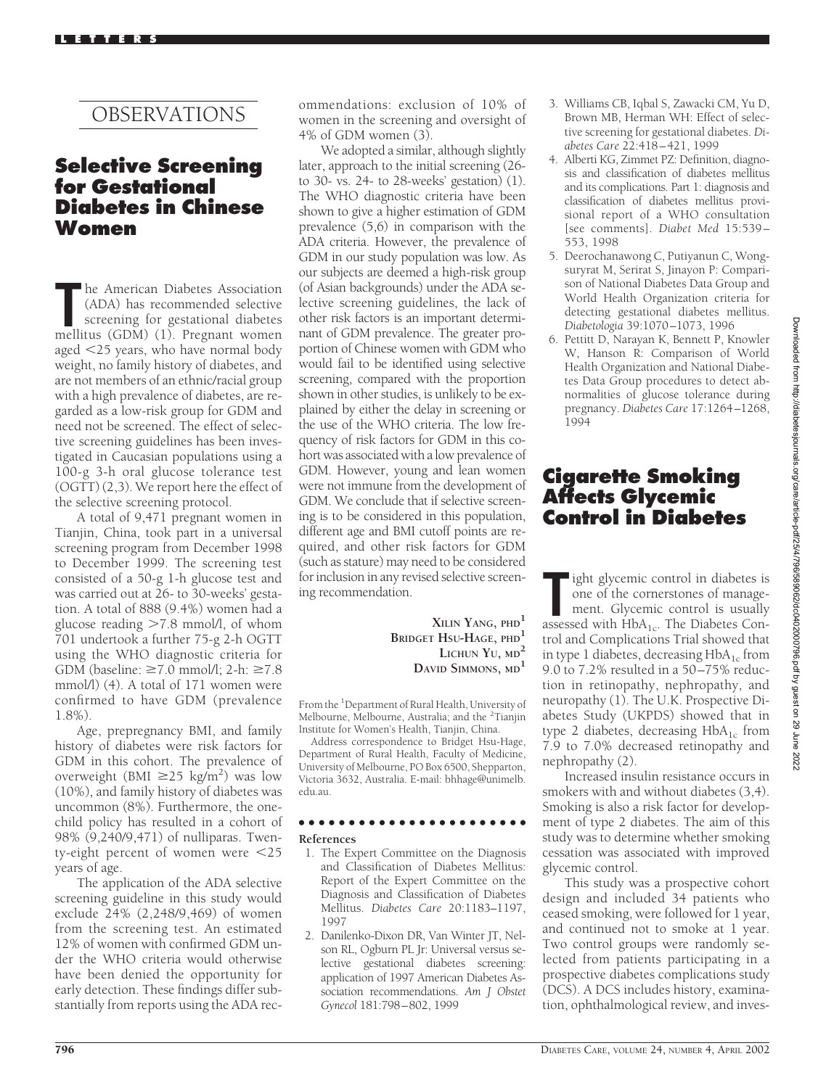# OBSERVATIONS

## **Selective Screening for Gestational Diabetes in Chinese Women**

The American Diabetes Association (ADA) has recommended selective screening for gestational diabetes mellitus (GDM) (1). Pregnant women he American Diabetes Association (ADA) has recommended selective screening for gestational diabetes aged 25 years, who have normal body weight, no family history of diabetes, and are not members of an ethnic/racial group with a high prevalence of diabetes, are regarded as a low-risk group for GDM and need not be screened. The effect of selective screening guidelines has been investigated in Caucasian populations using a 100-g 3-h oral glucose tolerance test (OGTT) (2,3). We report here the effect of the selective screening protocol.

A total of 9,471 pregnant women in Tianjin, China, took part in a universal screening program from December 1998 to December 1999. The screening test consisted of a 50-g 1-h glucose test and was carried out at 26- to 30-weeks' gestation. A total of 888 (9.4%) women had a glucose reading >7.8 mmol/l, of whom 701 undertook a further 75-g 2-h OGTT using the WHO diagnostic criteria for GDM (baseline:  $\geq 7.0$  mmol/l; 2-h:  $\geq 7.8$ mmol/l) (4). A total of 171 women were confirmed to have GDM (prevalence 1.8%).

Age, prepregnancy BMI, and family history of diabetes were risk factors for GDM in this cohort. The prevalence of overweight (BMI  $\geq$ 25 kg/m<sup>2</sup>) was low (10%), and family history of diabetes was uncommon (8%). Furthermore, the onechild policy has resulted in a cohort of 98% (9,240/9,471) of nulliparas. Twenty-eight percent of women were 25 years of age.

The application of the ADA selective screening guideline in this study would exclude 24% (2,248/9,469) of women from the screening test. An estimated 12% of women with confirmed GDM under the WHO criteria would otherwise have been denied the opportunity for early detection. These findings differ substantially from reports using the ADA rec-

ommendations: exclusion of 10% of women in the screening and oversight of 4% of GDM women (3).

We adopted a similar, although slightly later, approach to the initial screening (26 to 30- vs. 24- to 28-weeks' gestation) (1). The WHO diagnostic criteria have been shown to give a higher estimation of GDM prevalence (5,6) in comparison with the ADA criteria. However, the prevalence of GDM in our study population was low. As our subjects are deemed a high-risk group (of Asian backgrounds) under the ADA selective screening guidelines, the lack of other risk factors is an important determinant of GDM prevalence. The greater proportion of Chinese women with GDM who would fail to be identified using selective screening, compared with the proportion shown in other studies, is unlikely to be explained by either the delay in screening or the use of the WHO criteria. The low frequency of risk factors for GDM in this cohort was associated with a low prevalence of GDM. However, young and lean women were not immune from the development of GDM. We conclude that if selective screening is to be considered in this population, different age and BMI cutoff points are required, and other risk factors for GDM (such as stature) may need to be considered for inclusion in any revised selective screening recommendation.

> **XILIN YANG, PHD<sup>1</sup> BRIDGET HSU-HAGE, PHD<sup>1</sup> LICHUN YU, MD<sup>2</sup> DAVID SIMMONS, MD<sup>1</sup>**

From the <sup>1</sup>Department of Rural Health, University of Melbourne, Melbourne, Australia; and the <sup>2</sup>Tianjin Institute for Women's Health, Tianjin, China.

Address correspondence to Bridget Hsu-Hage, Department of Rural Health, Faculty of Medicine, University of Melbourne, PO Box 6500, Shepparton, Victoria 3632, Australia. E-mail: bhhage@unimelb. edu.au.

## ●●●●●●●●●●●●●●●●●●●●●●●

- **References**
- 1. The Expert Committee on the Diagnosis and Classification of Diabetes Mellitus: Report of the Expert Committee on the Diagnosis and Classification of Diabetes Mellitus. *Diabetes Care* 20:1183–1197, 1997
- 2. Danilenko-Dixon DR, Van Winter JT, Nelson RL, Ogburn PL Jr: Universal versus selective gestational diabetes screening: application of 1997 American Diabetes Association recommendations. *Am J Obstet Gynecol* 181:798–802, 1999
- 3. Williams CB, Iqbal S, Zawacki CM, Yu D, Brown MB, Herman WH: Effect of selective screening for gestational diabetes. *Diabetes Care* 22:418–421, 1999
- 4. Alberti KG, Zimmet PZ: Definition, diagnosis and classification of diabetes mellitus and its complications. Part 1: diagnosis and classification of diabetes mellitus provisional report of a WHO consultation [see comments]. *Diabet Med* 15:539– 553, 1998
- 5. Deerochanawong C, Putiyanun C, Wongsuryrat M, Serirat S, Jinayon P: Comparison of National Diabetes Data Group and World Health Organization criteria for detecting gestational diabetes mellitus. *Diabetologia* 39:1070–1073, 1996
- 6. Pettitt D, Narayan K, Bennett P, Knowler W, Hanson R: Comparison of World Health Organization and National Diabetes Data Group procedures to detect abnormalities of glucose tolerance during pregnancy. *Diabetes Care* 17:1264–1268, 1994

## **Cigarette Smoking Affects Glycemic Control in Diabetes**

**The Tana assessed with HbA<sub>1c</sub>**. The Diabetes Con-<br>
assessed with HbA<sub>1c</sub>. The Diabetes Conight glycemic control in diabetes is one of the cornerstones of management. Glycemic control is usually trol and Complications Trial showed that in type 1 diabetes, decreasing  $HbA_{1c}$  from 9.0 to 7.2% resulted in a 50–75% reduction in retinopathy, nephropathy, and neuropathy (1). The U.K. Prospective Diabetes Study (UKPDS) showed that in type 2 diabetes, decreasing  $HbA_{1c}$  from 7.9 to 7.0% decreased retinopathy and nephropathy (2).

Increased insulin resistance occurs in smokers with and without diabetes (3,4). Smoking is also a risk factor for development of type 2 diabetes. The aim of this study was to determine whether smoking cessation was associated with improved glycemic control.

This study was a prospective cohort design and included 34 patients who ceased smoking, were followed for 1 year, and continued not to smoke at 1 year. Two control groups were randomly selected from patients participating in a prospective diabetes complications study (DCS). A DCS includes history, examination, ophthalmological review, and inves-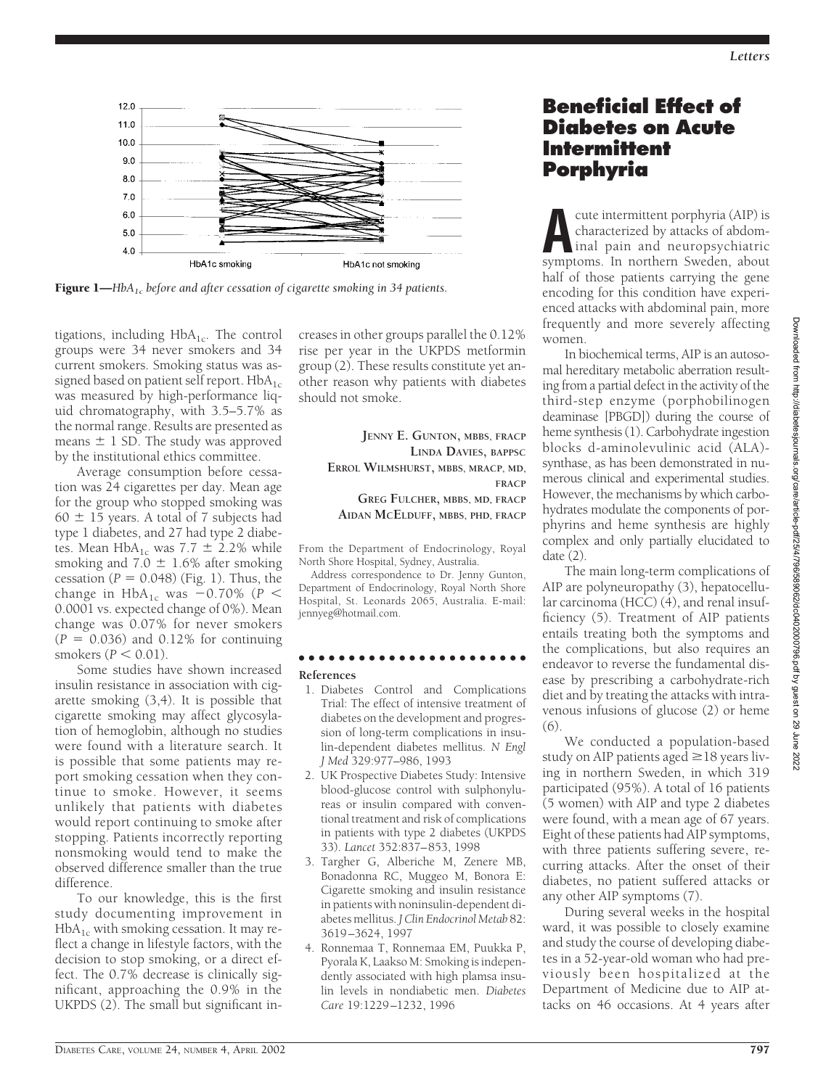*Letters*



Figure 1—*HbA1c before and after cessation of cigarette smoking in 34 patients.*

tigations, including  $HbA_{1c}$ . The control groups were 34 never smokers and 34 current smokers. Smoking status was assigned based on patient self report.  $HbA_{1c}$ was measured by high-performance liquid chromatography, with 3.5–5.7% as the normal range. Results are presented as means  $\pm$  1 SD. The study was approved by the institutional ethics committee.

Average consumption before cessation was 24 cigarettes per day. Mean age for the group who stopped smoking was  $60 \pm 15$  years. A total of 7 subjects had type 1 diabetes, and 27 had type 2 diabetes. Mean  $HbA_{1c}$  was 7.7  $\pm$  2.2% while smoking and  $7.0 \pm 1.6\%$  after smoking cessation  $(P = 0.048)$  (Fig. 1). Thus, the change in  $HbA_{1c}$  was  $-0.70\%$  ( $P <$ 0.0001 vs. expected change of 0%). Mean change was 0.07% for never smokers  $(P = 0.036)$  and  $0.12\%$  for continuing smokers  $(P < 0.01)$ .

Some studies have shown increased insulin resistance in association with cigarette smoking (3,4). It is possible that cigarette smoking may affect glycosylation of hemoglobin, although no studies were found with a literature search. It is possible that some patients may report smoking cessation when they continue to smoke. However, it seems unlikely that patients with diabetes would report continuing to smoke after stopping. Patients incorrectly reporting nonsmoking would tend to make the observed difference smaller than the true difference.

To our knowledge, this is the first study documenting improvement in  $HbA_{1c}$  with smoking cessation. It may reflect a change in lifestyle factors, with the decision to stop smoking, or a direct effect. The 0.7% decrease is clinically significant, approaching the 0.9% in the UKPDS (2). The small but significant increases in other groups parallel the 0.12% rise per year in the UKPDS metformin group (2). These results constitute yet another reason why patients with diabetes should not smoke.

> **JENNY E. GUNTON, MBBS, FRACP LINDA DAVIES, BAPPSC ERROL WILMSHURST, MBBS, MRACP, MD, FRACP GREG FULCHER, MBBS, MD, FRACP AIDAN MCELDUFF, MBBS, PHD, FRACP**

From the Department of Endocrinology, Royal North Shore Hospital, Sydney, Australia.

Address correspondence to Dr. Jenny Gunton, Department of Endocrinology, Royal North Shore Hospital, St. Leonards 2065, Australia. E-mail: jennyeg@hotmail.com.

#### ●●●●●●●●●●●●●●●●●●●●●●● **References**

- 1. Diabetes Control and Complications Trial: The effect of intensive treatment of diabetes on the development and progression of long-term complications in insulin-dependent diabetes mellitus. *N Engl J Med* 329:977–986, 1993
- 2. UK Prospective Diabetes Study: Intensive blood-glucose control with sulphonylureas or insulin compared with conventional treatment and risk of complications in patients with type 2 diabetes (UKPDS 33). *Lancet* 352:837–853, 1998
- 3. Targher G, Alberiche M, Zenere MB, Bonadonna RC, Muggeo M, Bonora E: Cigarette smoking and insulin resistance in patients with noninsulin-dependent diabetes mellitus. *J Clin Endocrinol Metab* 82: 3619–3624, 1997
- 4. Ronnemaa T, Ronnemaa EM, Puukka P, Pyorala K, Laakso M: Smoking is independently associated with high plamsa insulin levels in nondiabetic men. *Diabetes Care* 19:1229–1232, 1996

## **Beneficial Effect of Diabetes on Acute Intermittent Porphyria**

**A**cute intermittent porphyria (AIP) is characterized by attacks of abdominal pain and neuropsychiatric symptoms. In northern Sweden, about half of those patients carrying the gene encoding for this condition have experienced attacks with abdominal pain, more frequently and more severely affecting women.

In biochemical terms, AIP is an autosomal hereditary metabolic aberration resulting from a partial defect in the activity of the third-step enzyme (porphobilinogen deaminase [PBGD]) during the course of heme synthesis (1). Carbohydrate ingestion blocks d-aminolevulinic acid (ALA) synthase, as has been demonstrated in numerous clinical and experimental studies. However, the mechanisms by which carbohydrates modulate the components of porphyrins and heme synthesis are highly complex and only partially elucidated to date (2).

The main long-term complications of AIP are polyneuropathy (3), hepatocellular carcinoma (HCC) (4), and renal insufficiency (5). Treatment of AIP patients entails treating both the symptoms and the complications, but also requires an endeavor to reverse the fundamental disease by prescribing a carbohydrate-rich diet and by treating the attacks with intravenous infusions of glucose (2) or heme  $(6)$ 

We conducted a population-based study on AIP patients aged  $\geq$  18 years living in northern Sweden, in which 319 participated (95%). A total of 16 patients (5 women) with AIP and type 2 diabetes were found, with a mean age of 67 years. Eight of these patients had AIP symptoms, with three patients suffering severe, recurring attacks. After the onset of their diabetes, no patient suffered attacks or any other AIP symptoms (7).

During several weeks in the hospital ward, it was possible to closely examine and study the course of developing diabetes in a 52-year-old woman who had previously been hospitalized at the Department of Medicine due to AIP attacks on 46 occasions. At 4 years after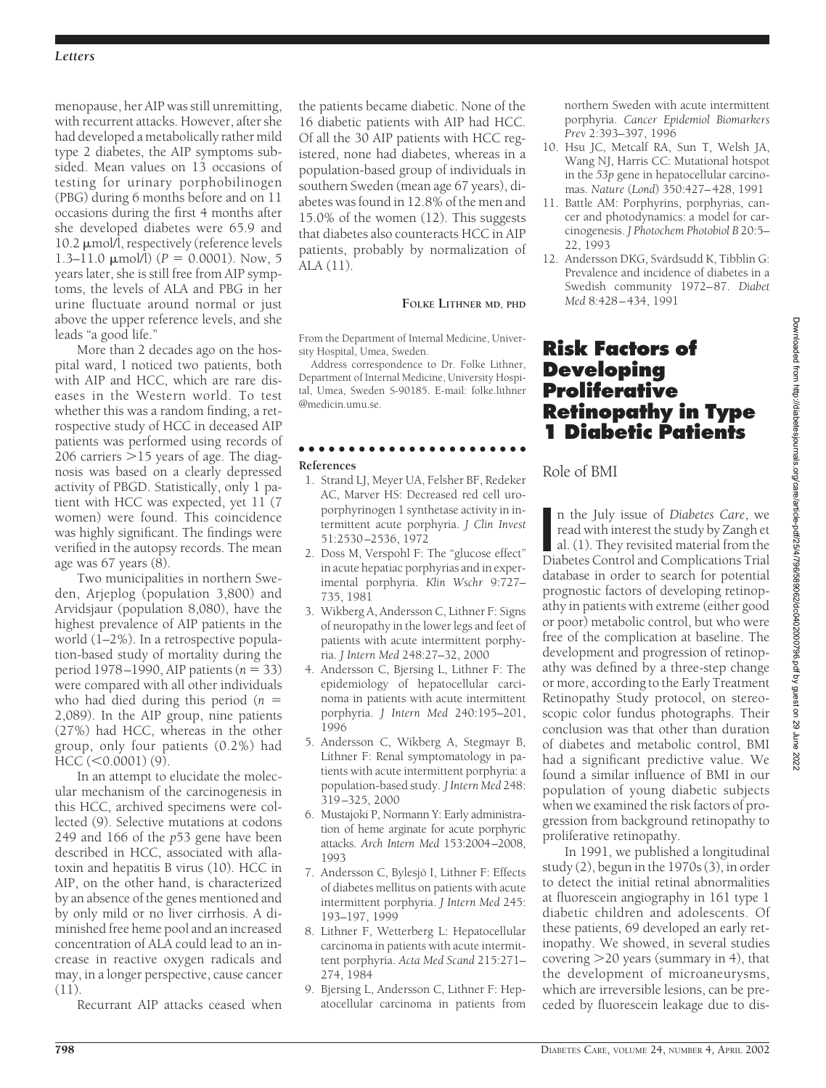### *Letters*

menopause, her AIP was still unremitting, with recurrent attacks. However, after she had developed a metabolically rather mild type 2 diabetes, the AIP symptoms subsided. Mean values on 13 occasions of testing for urinary porphobilinogen (PBG) during 6 months before and on 11 occasions during the first 4 months after she developed diabetes were 65.9 and 10.2  $\mu$ mol/l, respectively (reference levels 1.3–11.0  $\mu$ mol $\hat{I}$ ) ( $P = 0.0001$ ). Now, 5 years later, she is still free from AIP symptoms, the levels of ALA and PBG in her urine fluctuate around normal or just above the upper reference levels, and she leads "a good life."

More than 2 decades ago on the hospital ward, I noticed two patients, both with AIP and HCC, which are rare diseases in the Western world. To test whether this was a random finding, a retrospective study of HCC in deceased AIP patients was performed using records of 206 carriers >15 years of age. The diagnosis was based on a clearly depressed activity of PBGD. Statistically, only 1 patient with HCC was expected, yet 11 (7 women) were found. This coincidence was highly significant. The findings were verified in the autopsy records. The mean age was 67 years (8).

Two municipalities in northern Sweden, Arjeplog (population 3,800) and Arvidsjaur (population 8,080), have the highest prevalence of AIP patients in the world (1–2%). In a retrospective population-based study of mortality during the period 1978–1990, AIP patients  $(n = 33)$ were compared with all other individuals who had died during this period (*n* 2,089). In the AIP group, nine patients (27%) had HCC, whereas in the other group, only four patients (0.2%) had  $HCC$  ( $<$ 0.0001) (9).

In an attempt to elucidate the molecular mechanism of the carcinogenesis in this HCC, archived specimens were collected (9). Selective mutations at codons 249 and 166 of the *p*53 gene have been described in HCC, associated with aflatoxin and hepatitis B virus (10). HCC in AIP, on the other hand, is characterized by an absence of the genes mentioned and by only mild or no liver cirrhosis. A diminished free heme pool and an increased concentration of ALA could lead to an increase in reactive oxygen radicals and may, in a longer perspective, cause cancer (11).

Recurrant AIP attacks ceased when

the patients became diabetic. None of the 16 diabetic patients with AIP had HCC. Of all the 30 AIP patients with HCC registered, none had diabetes, whereas in a population-based group of individuals in southern Sweden (mean age 67 years), diabetes was found in 12.8% of the men and 15.0% of the women (12). This suggests that diabetes also counteracts HCC in AIP patients, probably by normalization of ALA (11).

### **FOLKE LITHNER MD, PHD**

From the Department of Internal Medicine, University Hospital, Umea, Sweden.

Address correspondence to Dr. Folke Lithner, Department of Internal Medicine, University Hospital, Umea, Sweden S-90185. E-mail: folke.lithner @medicin.umu.se.

# ●●●●●●●●●●●●●●●●●●●●●●●

### **References**

- 1. Strand LJ, Meyer UA, Felsher BF, Redeker AC, Marver HS: Decreased red cell uroporphyrinogen 1 synthetase activity in intermittent acute porphyria. *J Clin Invest* 51:2530–2536, 1972
- 2. Doss M, Verspohl F: The "glucose effect" in acute hepatiac porphyrias and in experimental porphyria. *Klin Wschr* 9:727– 735, 1981
- 3. Wikberg A, Andersson C, Lithner F: Signs of neuropathy in the lower legs and feet of patients with acute intermittent porphyria. *J Intern Med* 248:27–32, 2000
- 4. Andersson C, Bjersing L, Lithner F: The epidemiology of hepatocellular carcinoma in patients with acute intermittent porphyria. *J Intern Med* 240:195–201, 1996
- 5. Andersson C, Wikberg A, Stegmayr B, Lithner F: Renal symptomatology in patients with acute intermittent porphyria: a population-based study. *J Intern Med* 248: 319–325, 2000
- 6. Mustajoki P, Normann Y: Early administration of heme arginate for acute porphyric attacks. *Arch Intern Med* 153:2004–2008, 1993
- 7. Andersson C, Bylesjö I, Lithner F: Effects of diabetes mellitus on patients with acute intermittent porphyria. *J Intern Med* 245: 193–197, 1999
- 8. Lithner F, Wetterberg L: Hepatocellular carcinoma in patients with acute intermittent porphyria. *Acta Med Scand* 215:271– 274, 1984
- 9. Bjersing L, Andersson C, Lithner F: Hepatocellular carcinoma in patients from

northern Sweden with acute intermittent porphyria. *Cancer Epidemiol Biomarkers Prev* 2:393–397, 1996

- 10. Hsu JC, Metcalf RA, Sun T, Welsh JA, Wang NJ, Harris CC: Mutational hotspot in the *53p* gene in hepatocellular carcinomas. *Nature* (*Lond*) 350:427–428, 1991
- 11. Battle AM: Porphyrins, porphyrias, cancer and photodynamics: a model for carcinogenesis. *J Photochem Photobiol B* 20:5– 22, 1993
- 12. Andersson DKG, Svärdsudd K, Tibblin G: Prevalence and incidence of diabetes in a Swedish community 1972–87. *Diabet Med* 8:428–434, 1991

## **Risk Factors of Developing Proliferative Retinopathy in Type 1 Diabetic Patients**

## Role of BMI

In the July issue of *Diabetes Care*, we read with interest the study by Zangh et al. (1). They revisited material from the Diabetes Control and Complications Trial n the July issue of *Diabetes Care*, we read with interest the study by Zangh et al. (1). They revisited material from the database in order to search for potential prognostic factors of developing retinopathy in patients with extreme (either good or poor) metabolic control, but who were free of the complication at baseline. The development and progression of retinopathy was defined by a three-step change or more, according to the Early Treatment Retinopathy Study protocol, on stereoscopic color fundus photographs. Their conclusion was that other than duration of diabetes and metabolic control, BMI had a significant predictive value. We found a similar influence of BMI in our population of young diabetic subjects when we examined the risk factors of progression from background retinopathy to proliferative retinopathy.

In 1991, we published a longitudinal study (2), begun in the 1970s (3), in order to detect the initial retinal abnormalities at fluorescein angiography in 161 type 1 diabetic children and adolescents. Of these patients, 69 developed an early retinopathy. We showed, in several studies covering -20 years (summary in 4), that the development of microaneurysms, which are irreversible lesions, can be preceded by fluorescein leakage due to dis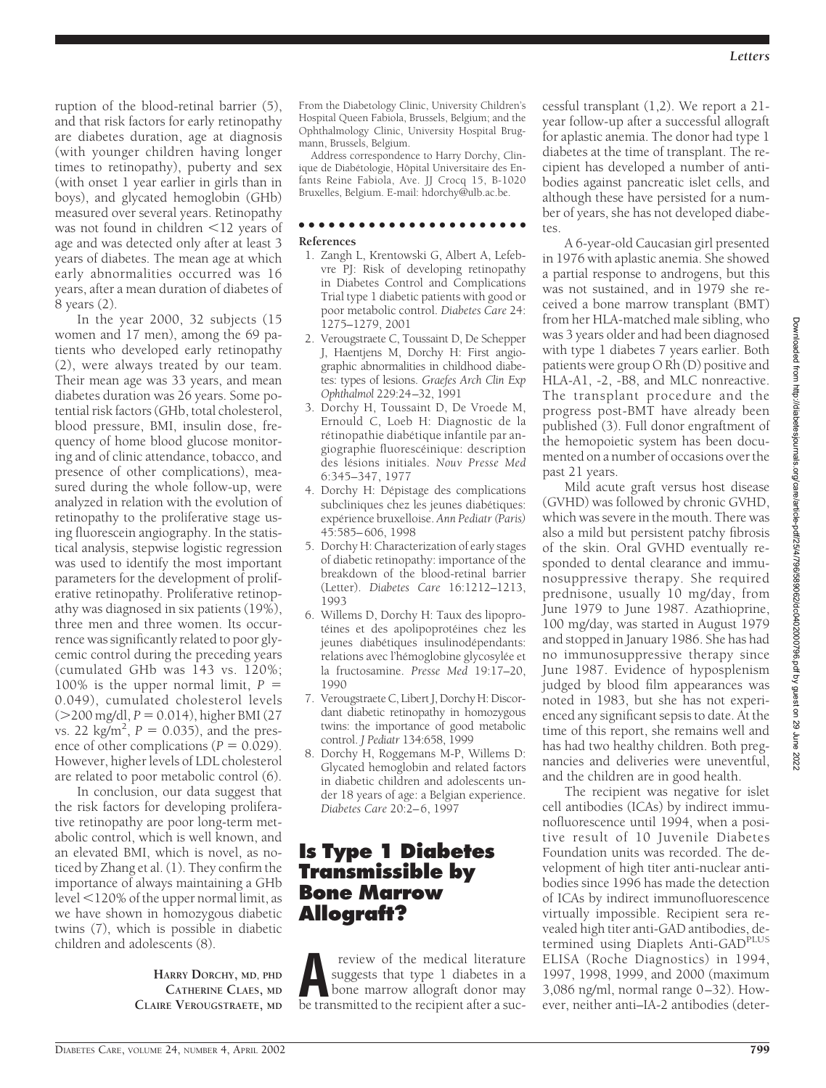ruption of the blood-retinal barrier (5), and that risk factors for early retinopathy are diabetes duration, age at diagnosis (with younger children having longer times to retinopathy), puberty and sex (with onset 1 year earlier in girls than in boys), and glycated hemoglobin (GHb) measured over several years. Retinopathy was not found in children  $\leq$ 12 years of age and was detected only after at least 3 years of diabetes. The mean age at which early abnormalities occurred was 16 years, after a mean duration of diabetes of 8 years (2).

In the year 2000, 32 subjects (15 women and 17 men), among the 69 patients who developed early retinopathy (2), were always treated by our team. Their mean age was 33 years, and mean diabetes duration was 26 years. Some potential risk factors (GHb, total cholesterol, blood pressure, BMI, insulin dose, frequency of home blood glucose monitoring and of clinic attendance, tobacco, and presence of other complications), measured during the whole follow-up, were analyzed in relation with the evolution of retinopathy to the proliferative stage using fluorescein angiography. In the statistical analysis, stepwise logistic regression was used to identify the most important parameters for the development of proliferative retinopathy. Proliferative retinopathy was diagnosed in six patients (19%), three men and three women. Its occurrence was significantly related to poor glycemic control during the preceding years (cumulated GHb was 143 vs. 120%; 100% is the upper normal limit,  $P =$ 0.049), cumulated cholesterol levels ( $>$ 200 mg/dl, *P* = 0.014), higher BMI (27) vs. 22  $\text{kg/m}^2$ ,  $P = 0.035$ ), and the presence of other complications ( $P = 0.029$ ). However, higher levels of LDL cholesterol are related to poor metabolic control (6).

In conclusion, our data suggest that the risk factors for developing proliferative retinopathy are poor long-term metabolic control, which is well known, and an elevated BMI, which is novel, as noticed by Zhang et al. (1). They confirm the importance of always maintaining a GHb level  $\leq$ 120% of the upper normal limit, as we have shown in homozygous diabetic twins (7), which is possible in diabetic children and adolescents (8).

> **HARRY DORCHY, MD, PHD CATHERINE CLAES, MD CLAIRE VEROUGSTRAETE, MD**

From the Diabetology Clinic, University Children's Hospital Queen Fabiola, Brussels, Belgium; and the Ophthalmology Clinic, University Hospital Brugmann, Brussels, Belgium.

Address correspondence to Harry Dorchy, Clinique de Diabétologie, Hôpital Universitaire des Enfants Reine Fabiola, Ave. JJ Crocq 15, B-1020 Bruxelles, Belgium. E-mail: hdorchy@ulb.ac.be.

#### ●●●●●●●●●●●●●●●●●●●●●●● **References**

- 1. Zangh L, Krentowski G, Albert A, Lefebvre PJ: Risk of developing retinopathy in Diabetes Control and Complications Trial type 1 diabetic patients with good or poor metabolic control. *Diabetes Care* 24: 1275–1279, 2001
- 2. Verougstraete C, Toussaint D, De Schepper J, Haentjens M, Dorchy H: First angiographic abnormalities in childhood diabetes: types of lesions. *Graefes Arch Clin Exp Ophthalmol* 229:24–32, 1991
- 3. Dorchy H, Toussaint D, De Vroede M, Ernould C, Loeb H: Diagnostic de la rétinopathie diabétique infantile par angiographie fluorescéinique: description des lésions initiales. *Nouv Presse Med* 6:345–347, 1977
- 4. Dorchy H: Dépistage des complications subcliniques chez les jeunes diabétiques: expe´rience bruxelloise. *Ann Pediatr (Paris)* 45:585–606, 1998
- 5. Dorchy H: Characterization of early stages of diabetic retinopathy: importance of the breakdown of the blood-retinal barrier (Letter). *Diabetes Care* 16:1212–1213, 1993
- 6. Willems D, Dorchy H: Taux des lipoprotéines et des apolipoprotéines chez les jeunes diabétiques insulinodépendants: relations avec l'hémoglobine glycosylée et la fructosamine. *Presse Med* 19:17–20, 1990
- 7. Verougstraete C, Libert J, Dorchy H: Discordant diabetic retinopathy in homozygous twins: the importance of good metabolic control. *J Pediatr* 134:658, 1999
- 8. Dorchy H, Roggemans M-P, Willems D: Glycated hemoglobin and related factors in diabetic children and adolescents under 18 years of age: a Belgian experience. *Diabetes Care* 20:2–6, 1997

## **Is Type 1 Diabetes Transmissible by Bone Marrow Allograft?**

**A** review of the medical literature<br>suggests that type 1 diabetes in a<br>bone marrow allograft donor may<br>be transmitted to the recipient after a sucsuggests that type 1 diabetes in a be transmitted to the recipient after a successful transplant (1,2). We report a 21 year follow-up after a successful allograft for aplastic anemia. The donor had type 1 diabetes at the time of transplant. The recipient has developed a number of antibodies against pancreatic islet cells, and although these have persisted for a number of years, she has not developed diabetes.

A 6-year-old Caucasian girl presented in 1976 with aplastic anemia. She showed a partial response to androgens, but this was not sustained, and in 1979 she received a bone marrow transplant (BMT) from her HLA-matched male sibling, who was 3 years older and had been diagnosed with type 1 diabetes 7 years earlier. Both patients were group O Rh (D) positive and HLA-A1, -2, -B8, and MLC nonreactive. The transplant procedure and the progress post-BMT have already been published (3). Full donor engraftment of the hemopoietic system has been documented on a number of occasions over the past 21 years.

Mild acute graft versus host disease (GVHD) was followed by chronic GVHD, which was severe in the mouth. There was also a mild but persistent patchy fibrosis of the skin. Oral GVHD eventually responded to dental clearance and immunosuppressive therapy. She required prednisone, usually 10 mg/day, from June 1979 to June 1987. Azathioprine, 100 mg/day, was started in August 1979 and stopped in January 1986. She has had no immunosuppressive therapy since June 1987. Evidence of hyposplenism judged by blood film appearances was noted in 1983, but she has not experienced any significant sepsis to date. At the time of this report, she remains well and has had two healthy children. Both pregnancies and deliveries were uneventful, and the children are in good health.

The recipient was negative for islet cell antibodies (ICAs) by indirect immunofluorescence until 1994, when a positive result of 10 Juvenile Diabetes Foundation units was recorded. The development of high titer anti-nuclear antibodies since 1996 has made the detection of ICAs by indirect immunofluorescence virtually impossible. Recipient sera revealed high titer anti-GAD antibodies, determined using Diaplets Anti-GAD<sup>PLUS</sup> ELISA (Roche Diagnostics) in 1994, 1997, 1998, 1999, and 2000 (maximum 3,086 ng/ml, normal range 0–32). However, neither anti–IA-2 antibodies (deter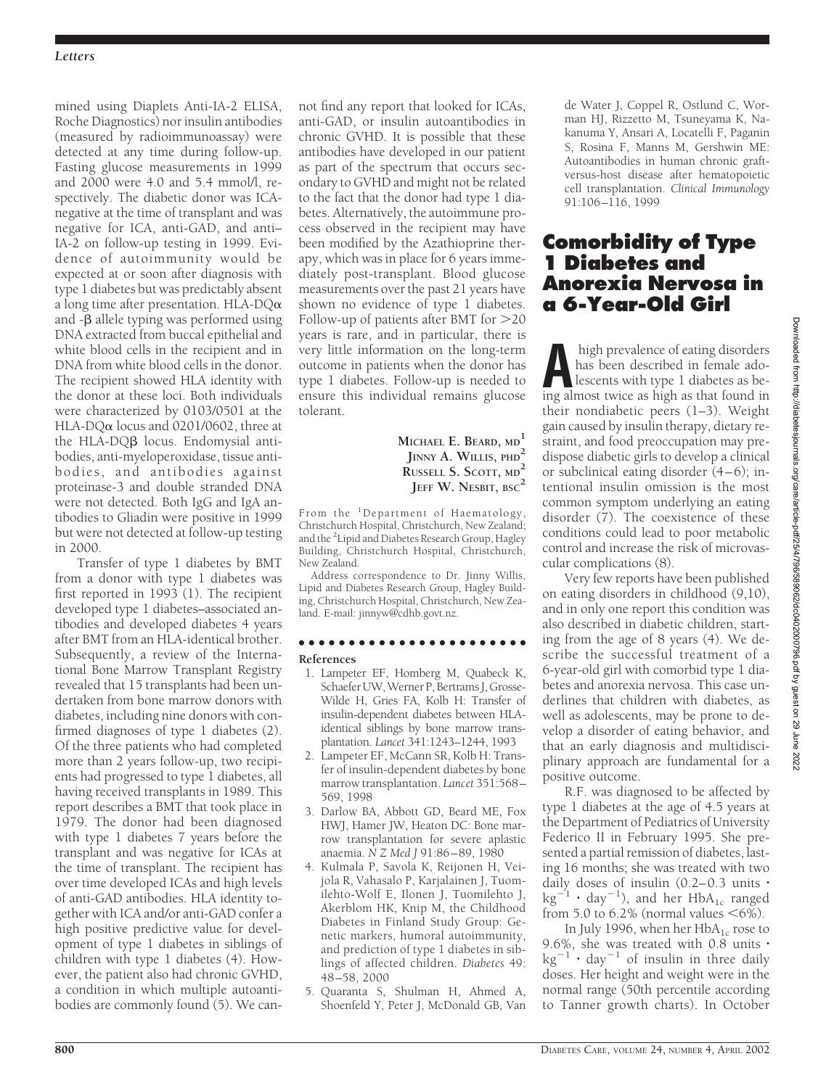mined using Diaplets Anti-IA-2 ELISA, Roche Diagnostics) nor insulin antibodies (measured by radioimmunoassay) were detected at any time during follow-up. Fasting glucose measurements in 1999 and 2000 were 4.0 and 5.4 mmol/l, respectively. The diabetic donor was ICAnegative at the time of transplant and was negative for ICA, anti-GAD, and anti– IA-2 on follow-up testing in 1999. Evidence of autoimmunity would be expected at or soon after diagnosis with type 1 diabetes but was predictably absent a long time after presentation. HLA-DQ $\alpha$ and  $-\beta$  allele typing was performed using DNA extracted from buccal epithelial and white blood cells in the recipient and in DNA from white blood cells in the donor. The recipient showed HLA identity with the donor at these loci. Both individuals were characterized by 0103/0501 at the HLA-DQ $\alpha$  locus and 0201/0602, three at the HLA-DQ $\beta$  locus. Endomysial antibodies, anti-myeloperoxidase, tissue antibodies, and antibodies against proteinase-3 and double stranded DNA were not detected. Both IgG and IgA antibodies to Gliadin were positive in 1999 but were not detected at follow-up testing in 2000.

Transfer of type 1 diabetes by BMT from a donor with type 1 diabetes was first reported in 1993 (1). The recipient developed type 1 diabetes–associated antibodies and developed diabetes 4 years after BMT from an HLA-identical brother. Subsequently, a review of the International Bone Marrow Transplant Registry revealed that 15 transplants had been undertaken from bone marrow donors with diabetes, including nine donors with confirmed diagnoses of type 1 diabetes (2). Of the three patients who had completed more than 2 years follow-up, two recipients had progressed to type 1 diabetes, all having received transplants in 1989. This report describes a BMT that took place in 1979. The donor had been diagnosed with type 1 diabetes 7 years before the transplant and was negative for ICAs at the time of transplant. The recipient has over time developed ICAs and high levels of anti-GAD antibodies. HLA identity together with ICA and/or anti-GAD confer a high positive predictive value for development of type 1 diabetes in siblings of children with type 1 diabetes (4). However, the patient also had chronic GVHD, a condition in which multiple autoantibodies are commonly found (5). We cannot find any report that looked for ICAs, anti-GAD, or insulin autoantibodies in chronic GVHD. It is possible that these antibodies have developed in our patient as part of the spectrum that occurs secondary to GVHD and might not be related to the fact that the donor had type 1 diabetes. Alternatively, the autoimmune process observed in the recipient may have been modified by the Azathioprine therapy, which was in place for 6 years immediately post-transplant. Blood glucose measurements over the past 21 years have shown no evidence of type 1 diabetes. Follow-up of patients after BMT for >20 years is rare, and in particular, there is very little information on the long-term outcome in patients when the donor has type 1 diabetes. Follow-up is needed to ensure this individual remains glucose tolerant.

> **MICHAEL E. BEARD, MD<sup>1</sup> JINNY A. WILLIS, PHD<sup>2</sup> RUSSELL S. SCOTT, MD<sup>2</sup> JEFF W. NESBIT, BSC<sup>2</sup>**

From the 1Department of Haematology, Christchurch Hospital, Christchurch, New Zealand; and the <sup>2</sup> Lipid and Diabetes Research Group, Hagley Building, Christchurch Hospital, Christchurch, New Zealand.

Address correspondence to Dr. Jinny Willis, Lipid and Diabetes Research Group, Hagley Building, Christchurch Hospital, Christchurch, New Zealand. E-mail: jinnyw@cdhb.govt.nz.

# ●●●●●●●●●●●●●●●●●●●●●●●

- **References**
- 1. Lampeter EF, Homberg M, Quabeck K, Schaefer UW, Werner P, Bertrams J, Grosse-Wilde H, Gries FA, Kolb H: Transfer of insulin-dependent diabetes between HLAidentical siblings by bone marrow transplantation. *Lancet* 341:1243–1244, 1993
- 2. Lampeter EF, McCann SR, Kolb H: Transfer of insulin-dependent diabetes by bone marrow transplantation. *Lancet* 351:568– 569, 1998
- 3. Darlow BA, Abbott GD, Beard ME, Fox HWJ, Hamer JW, Heaton DC: Bone marrow transplantation for severe aplastic anaemia. *N Z Med J* 91:86–89, 1980
- 4. Kulmala P, Savola K, Reijonen H, Veijola R, Vahasalo P, Karjalainen J, Tuomilehto-Wolf E, Ilonen J, Tuomilehto J, Akerblom HK, Knip M, the Childhood Diabetes in Finland Study Group: Genetic markers, humoral autoimmunity, and prediction of type 1 diabetes in siblings of affected children. *Diabetes* 49: 48 –58, 2000
- 5. Quaranta S, Shulman H, Ahmed A, Shoenfeld Y, Peter J, McDonald GB, Van

de Water J, Coppel R, Ostlund C, Worman HJ, Rizzetto M, Tsuneyama K, Nakanuma Y, Ansari A, Locatelli F, Paganin S, Rosina F, Manns M, Gershwin ME: Autoantibodies in human chronic graftversus-host disease after hematopoietic cell transplantation. *Clinical Immunology* 91:106–116, 1999

## **Comorbidity of Type 1 Diabetes and Anorexia Nervosa in a 6-Year-Old Girl**

high prevalence of eating disorders<br>has been described in female ado-<br>lescents with type 1 diabetes as be-<br>ing almost twice as high as that found in has been described in female adolescents with type 1 diabetes as being almost twice as high as that found in their nondiabetic peers (1–3). Weight gain caused by insulin therapy, dietary restraint, and food preoccupation may predispose diabetic girls to develop a clinical or subclinical eating disorder (4–6); intentional insulin omission is the most common symptom underlying an eating disorder (7). The coexistence of these conditions could lead to poor metabolic control and increase the risk of microvascular complications (8).

Very few reports have been published on eating disorders in childhood (9,10), and in only one report this condition was also described in diabetic children, starting from the age of 8 years (4). We describe the successful treatment of a 6-year-old girl with comorbid type 1 diabetes and anorexia nervosa. This case underlines that children with diabetes, as well as adolescents, may be prone to develop a disorder of eating behavior, and that an early diagnosis and multidisciplinary approach are fundamental for a positive outcome.

R.F. was diagnosed to be affected by type 1 diabetes at the age of 4.5 years at the Department of Pediatrics of University Federico II in February 1995. She presented a partial remission of diabetes, lasting 16 months; she was treated with two daily doses of insulin (0.2–0.3 units -  $\text{kg}^{-1} \cdot \text{day}^{-1}$ ), and her HbA<sub>1c</sub> ranged from 5.0 to 6.2% (normal values  $<6\%$ ).

In July 1996, when her  $HbA_{1c}$  rose to 9.6%, she was treated with 0.8 units -  $\text{kg}^{-1} \cdot \text{day}^{-1}$  of insulin in three daily doses. Her height and weight were in the normal range (50th percentile according to Tanner growth charts). In October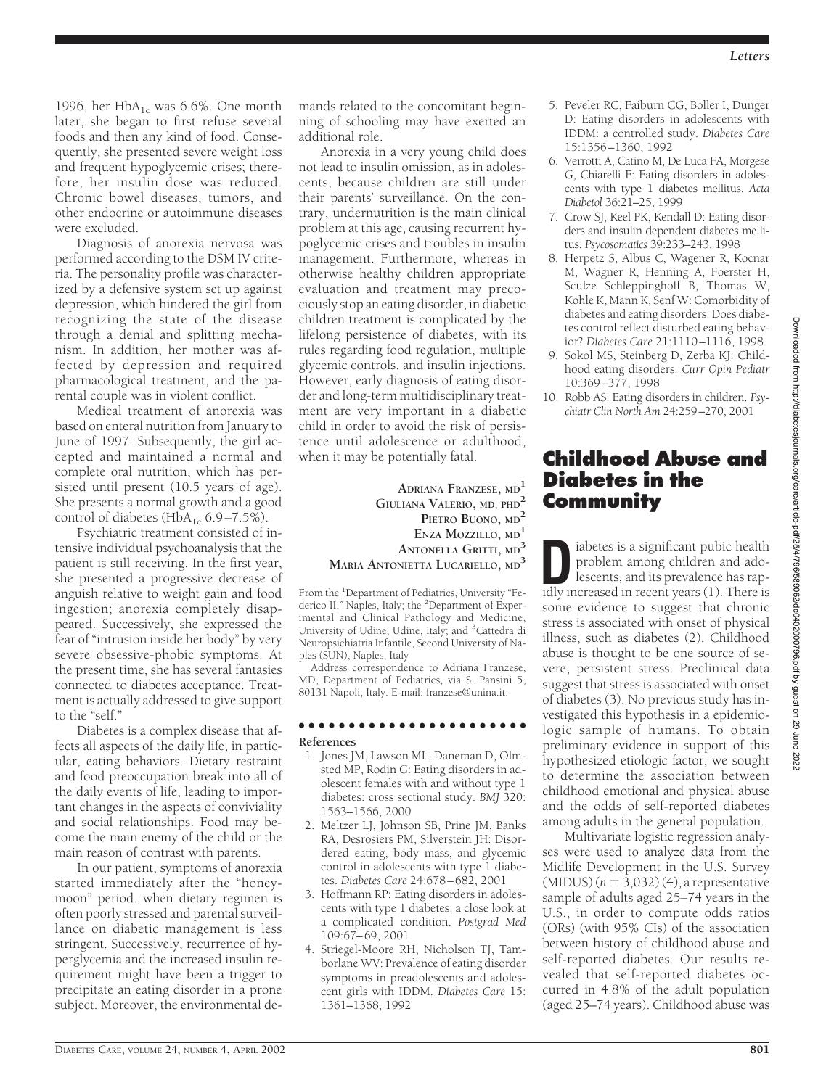1996, her  $HbA_{1c}$  was 6.6%. One month later, she began to first refuse several foods and then any kind of food. Consequently, she presented severe weight loss and frequent hypoglycemic crises; therefore, her insulin dose was reduced. Chronic bowel diseases, tumors, and other endocrine or autoimmune diseases were excluded.

Diagnosis of anorexia nervosa was performed according to the DSM IV criteria. The personality profile was characterized by a defensive system set up against depression, which hindered the girl from recognizing the state of the disease through a denial and splitting mechanism. In addition, her mother was affected by depression and required pharmacological treatment, and the parental couple was in violent conflict.

Medical treatment of anorexia was based on enteral nutrition from January to June of 1997. Subsequently, the girl accepted and maintained a normal and complete oral nutrition, which has persisted until present (10.5 years of age). She presents a normal growth and a good control of diabetes (HbA<sub>1c</sub> 6.9–7.5%).

Psychiatric treatment consisted of intensive individual psychoanalysis that the patient is still receiving. In the first year, she presented a progressive decrease of anguish relative to weight gain and food ingestion; anorexia completely disappeared. Successively, she expressed the fear of "intrusion inside her body" by very severe obsessive-phobic symptoms. At the present time, she has several fantasies connected to diabetes acceptance. Treatment is actually addressed to give support to the "self."

Diabetes is a complex disease that affects all aspects of the daily life, in particular, eating behaviors. Dietary restraint and food preoccupation break into all of the daily events of life, leading to important changes in the aspects of conviviality and social relationships. Food may become the main enemy of the child or the main reason of contrast with parents.

In our patient, symptoms of anorexia started immediately after the "honeymoon" period, when dietary regimen is often poorly stressed and parental surveillance on diabetic management is less stringent. Successively, recurrence of hyperglycemia and the increased insulin requirement might have been a trigger to precipitate an eating disorder in a prone subject. Moreover, the environmental demands related to the concomitant beginning of schooling may have exerted an additional role.

Anorexia in a very young child does not lead to insulin omission, as in adolescents, because children are still under their parents' surveillance. On the contrary, undernutrition is the main clinical problem at this age, causing recurrent hypoglycemic crises and troubles in insulin management. Furthermore, whereas in otherwise healthy children appropriate evaluation and treatment may precociously stop an eating disorder, in diabetic children treatment is complicated by the lifelong persistence of diabetes, with its rules regarding food regulation, multiple glycemic controls, and insulin injections. However, early diagnosis of eating disorder and long-term multidisciplinary treatment are very important in a diabetic child in order to avoid the risk of persistence until adolescence or adulthood, when it may be potentially fatal.

> **ADRIANA FRANZESE, MD<sup>1</sup> GIULIANA VALERIO, MD, PHD<sup>2</sup> PIETRO BUONO, MD<sup>2</sup> ENZA MOZZILLO, MD<sup>1</sup> ANTONELLA GRITTI, MD<sup>3</sup> MARIA ANTONIETTA LUCARIELLO, MD<sup>3</sup>**

From the <sup>1</sup>Department of Pediatrics, University "Federico II," Naples, Italy; the <sup>2</sup>Department of Experimental and Clinical Pathology and Medicine, University of Udine, Udine, Italy; and <sup>3</sup>Cattedra di Neuropsichiatria Infantile, Second University of Naples (SUN), Naples, Italy

Address correspondence to Adriana Franzese, MD, Department of Pediatrics, via S. Pansini 5, 80131 Napoli, Italy. E-mail: franzese@unina.it.

#### ●●●●●●●●●●●●●●●●●●●●●●● **References**

- 1. Jones JM, Lawson ML, Daneman D, Olmsted MP, Rodin G: Eating disorders in adolescent females with and without type 1 diabetes: cross sectional study. *BMJ* 320: 1563–1566, 2000
- 2. Meltzer LJ, Johnson SB, Prine JM, Banks RA, Desrosiers PM, Silverstein JH: Disordered eating, body mass, and glycemic control in adolescents with type 1 diabetes. *Diabetes Care* 24:678–682, 2001
- 3. Hoffmann RP: Eating disorders in adolescents with type 1 diabetes: a close look at a complicated condition. *Postgrad Med* 109:67–69, 2001
- 4. Striegel-Moore RH, Nicholson TJ, Tamborlane WV: Prevalence of eating disorder symptoms in preadolescents and adolescent girls with IDDM. *Diabetes Care* 15: 1361–1368, 1992
- 5. Peveler RC, Faiburn CG, Boller I, Dunger D: Eating disorders in adolescents with IDDM: a controlled study. *Diabetes Care* 15:1356–1360, 1992
- 6. Verrotti A, Catino M, De Luca FA, Morgese G, Chiarelli F: Eating disorders in adolescents with type 1 diabetes mellitus. *Acta Diabetol* 36:21–25, 1999
- 7. Crow SJ, Keel PK, Kendall D: Eating disorders and insulin dependent diabetes mellitus. *Psycosomatics* 39:233–243, 1998
- 8. Herpetz S, Albus C, Wagener R, Kocnar M, Wagner R, Henning A, Foerster H, Sculze Schleppinghoff B, Thomas W, Kohle K, Mann K, Senf W: Comorbidity of diabetes and eating disorders. Does diabetes control reflect disturbed eating behavior? *Diabetes Care* 21:1110–1116, 1998
- 9. Sokol MS, Steinberg D, Zerba KJ: Childhood eating disorders. *Curr Opin Pediatr* 10:369–377, 1998
- 10. Robb AS: Eating disorders in children. *Psychiatr Clin North Am* 24:259–270, 2001

# **Childhood Abuse and Diabetes in the Community**

**D**iabetes is a significant pubic health<br>
problem among children and ado-<br>
lescents, and its prevalence has rap-<br>
idly increased in recent vears (1) There is problem among children and adoidly increased in recent years (1). There is some evidence to suggest that chronic stress is associated with onset of physical illness, such as diabetes (2). Childhood abuse is thought to be one source of severe, persistent stress. Preclinical data suggest that stress is associated with onset of diabetes (3). No previous study has investigated this hypothesis in a epidemiologic sample of humans. To obtain preliminary evidence in support of this hypothesized etiologic factor, we sought to determine the association between childhood emotional and physical abuse and the odds of self-reported diabetes among adults in the general population.

Multivariate logistic regression analyses were used to analyze data from the Midlife Development in the U.S. Survey  $(MIDUS)$  ( $n = 3,032$ ) (4), a representative sample of adults aged 25–74 years in the U.S., in order to compute odds ratios (ORs) (with 95% CIs) of the association between history of childhood abuse and self-reported diabetes. Our results revealed that self-reported diabetes occurred in 4.8% of the adult population (aged 25–74 years). Childhood abuse was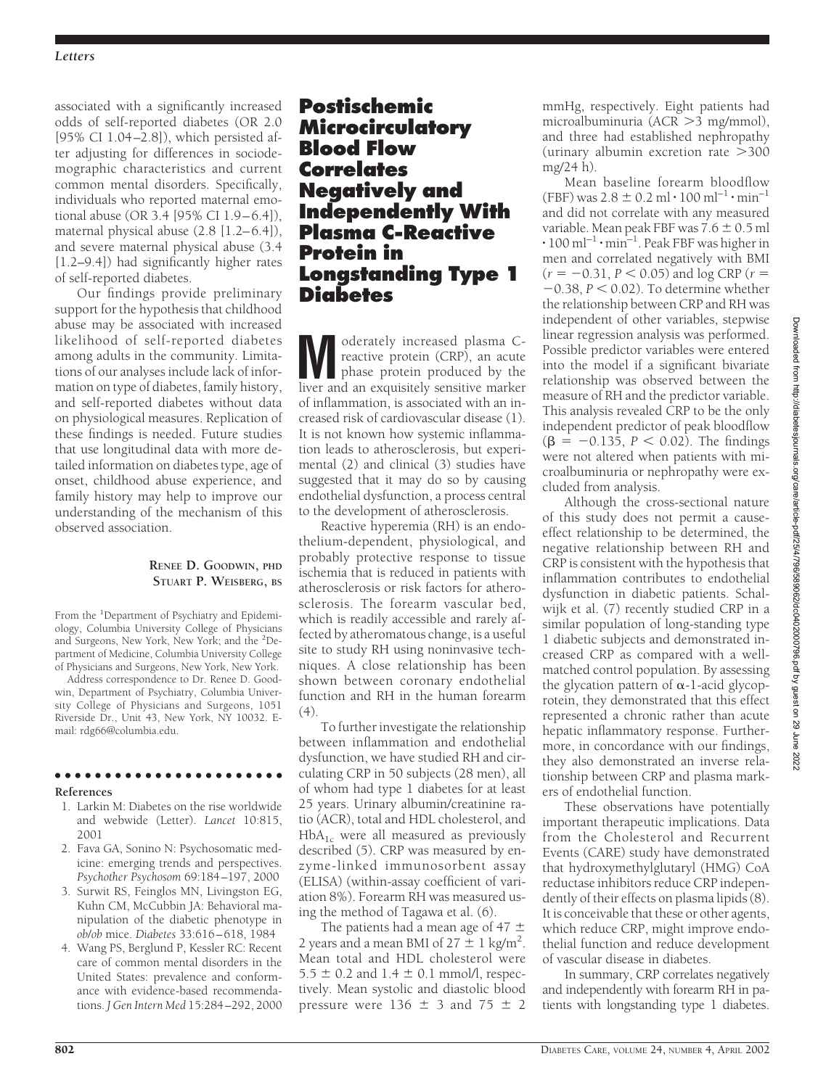### *Letters*

associated with a significantly increased odds of self-reported diabetes (OR 2.0 [95% CI 1.04–2.8]), which persisted after adjusting for differences in sociodemographic characteristics and current common mental disorders. Specifically, individuals who reported maternal emotional abuse (OR 3.4 [95% CI 1.9–6.4]), maternal physical abuse (2.8 [1.2–6.4]), and severe maternal physical abuse (3.4 [1.2–9.4]) had significantly higher rates of self-reported diabetes.

Our findings provide preliminary support for the hypothesis that childhood abuse may be associated with increased likelihood of self-reported diabetes among adults in the community. Limitations of our analyses include lack of information on type of diabetes, family history, and self-reported diabetes without data on physiological measures. Replication of these findings is needed. Future studies that use longitudinal data with more detailed information on diabetes type, age of onset, childhood abuse experience, and family history may help to improve our understanding of the mechanism of this observed association.

### **RENEE D. GOODWIN, PHD STUART P. WEISBERG, BS**

From the <sup>1</sup>Department of Psychiatry and Epidemiology, Columbia University College of Physicians and Surgeons, New York, New York; and the <sup>2</sup>Department of Medicine, Columbia University College of Physicians and Surgeons, New York, New York.

Address correspondence to Dr. Renee D. Goodwin, Department of Psychiatry, Columbia University College of Physicians and Surgeons, 1051 Riverside Dr., Unit 43, New York, NY 10032. Email: rdg66@columbia.edu.

## **References**

1. Larkin M: Diabetes on the rise worldwide and webwide (Letter). *Lancet* 10:815, 2001

●●●●●●●●●●●●●●●●●●●●●●●

- 2. Fava GA, Sonino N: Psychosomatic medicine: emerging trends and perspectives. *Psychother Psychosom* 69:184–197, 2000
- 3. Surwit RS, Feinglos MN, Livingston EG, Kuhn CM, McCubbin JA: Behavioral manipulation of the diabetic phenotype in *ob*/*ob* mice. *Diabetes* 33:616–618, 1984
- 4. Wang PS, Berglund P, Kessler RC: Recent care of common mental disorders in the United States: prevalence and conformance with evidence-based recommendations. *J Gen Intern Med* 15:284–292, 2000

## **Postischemic Microcirculatory Blood Flow Correlates Negatively and Independently With Plasma C-Reactive Protein in Longstanding Type 1 Diabetes**

**M**oderately increased plasma C-<br>reactive protein (CRP), an acute<br>phase protein produced by the<br>liver and an exquisitely sensitive marker reactive protein (CRP), an acute phase protein produced by the liver and an exquisitely sensitive marker of inflammation, is associated with an increased risk of cardiovascular disease (1). It is not known how systemic inflammation leads to atherosclerosis, but experimental (2) and clinical (3) studies have suggested that it may do so by causing endothelial dysfunction, a process central to the development of atherosclerosis.

Reactive hyperemia (RH) is an endothelium-dependent, physiological, and probably protective response to tissue ischemia that is reduced in patients with atherosclerosis or risk factors for atherosclerosis. The forearm vascular bed, which is readily accessible and rarely affected by atheromatous change, is a useful site to study RH using noninvasive techniques. A close relationship has been shown between coronary endothelial function and RH in the human forearm (4).

To further investigate the relationship between inflammation and endothelial dysfunction, we have studied RH and circulating CRP in 50 subjects (28 men), all of whom had type 1 diabetes for at least 25 years. Urinary albumin/creatinine ratio (ACR), total and HDL cholesterol, and  $HbA_{1c}$  were all measured as previously described (5). CRP was measured by enzyme-linked immunosorbent assay (ELISA) (within-assay coefficient of variation 8%). Forearm RH was measured using the method of Tagawa et al. (6).

The patients had a mean age of 47  $\pm$ 2 years and a mean BMI of  $27 \pm 1$  kg/m<sup>2</sup>. Mean total and HDL cholesterol were  $5.5 \pm 0.2$  and  $1.4 \pm 0.1$  mmol/l, respectively. Mean systolic and diastolic blood pressure were 136  $\pm$  3 and 75  $\pm$  2 mmHg, respectively. Eight patients had microalbuminuria (ACR > 3 mg/mmol), and three had established nephropathy  $($ urinary albumin excretion rate  $>$ 300 mg/24 h).

Mean baseline forearm bloodflow  $(FBF)$  was  $2.8 \pm 0.2$  ml  $\cdot 100$  ml<sup>-1</sup>  $\cdot$  min<sup>-1</sup> and did not correlate with any measured variable. Mean peak FBF was  $7.6 \pm 0.5$  ml  $\cdot$  100 ml<sup>-1</sup>  $\cdot$  min<sup>-1</sup>. Peak FBF was higher in men and correlated negatively with BMI  $(r = -0.31, P < 0.05)$  and log CRP ( $r =$  $-0.38$ ,  $P < 0.02$ ). To determine whether the relationship between CRP and RH was independent of other variables, stepwise linear regression analysis was performed. Possible predictor variables were entered into the model if a significant bivariate relationship was observed between the measure of RH and the predictor variable. This analysis revealed CRP to be the only independent predictor of peak bloodflow  $(\beta = -0.135, P < 0.02)$ . The findings were not altered when patients with microalbuminuria or nephropathy were excluded from analysis.

Although the cross-sectional nature of this study does not permit a causeeffect relationship to be determined, the negative relationship between RH and CRP is consistent with the hypothesis that inflammation contributes to endothelial dysfunction in diabetic patients. Schalwijk et al. (7) recently studied CRP in a similar population of long-standing type 1 diabetic subjects and demonstrated increased CRP as compared with a wellmatched control population. By assessing the glycation pattern of  $\alpha$ -1-acid glycoprotein, they demonstrated that this effect represented a chronic rather than acute hepatic inflammatory response. Furthermore, in concordance with our findings, they also demonstrated an inverse relationship between CRP and plasma markers of endothelial function.

These observations have potentially important therapeutic implications. Data from the Cholesterol and Recurrent Events (CARE) study have demonstrated that hydroxymethylglutaryl (HMG) CoA reductase inhibitors reduce CRP independently of their effects on plasma lipids (8). It is conceivable that these or other agents, which reduce CRP, might improve endothelial function and reduce development of vascular disease in diabetes.

In summary, CRP correlates negatively and independently with forearm RH in patients with longstanding type 1 diabetes.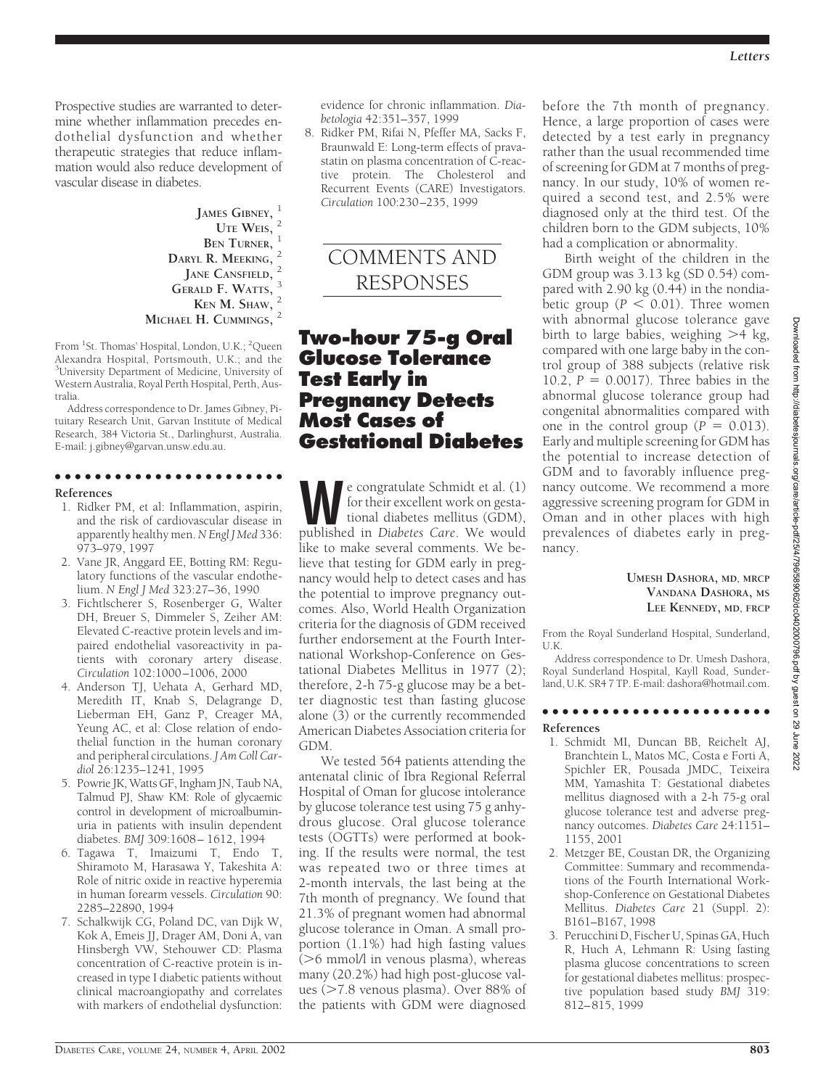Prospective studies are warranted to determine whether inflammation precedes endothelial dysfunction and whether therapeutic strategies that reduce inflammation would also reduce development of vascular disease in diabetes.

> **JAMES GIBNEY,** <sup>1</sup> **UTE WEIS,** <sup>2</sup> **BEN** TURNER, **DARYL R. MEEKING,** <sup>2</sup> **JANE CANSFIELD,** <sup>2</sup> **GERALD F. WATTS, KEN M. SHAW,** <sup>2</sup> **MICHAEL H. CUMMINGS,** <sup>2</sup>

From <sup>1</sup>St. Thomas' Hospital, London, U.K.; <sup>2</sup>Queen Alexandra Hospital, Portsmouth, U.K.; and the 3 University Department of Medicine, University of Western Australia, Royal Perth Hospital, Perth, Australia.

Address correspondence to Dr. James Gibney, Pituitary Research Unit, Garvan Institute of Medical Research, 384 Victoria St., Darlinghurst, Australia. E-mail: j.gibney@garvan.unsw.edu.au.

## ●●●●●●●●●●●●●●●●●●●●●●●

#### **References**

- 1. Ridker PM, et al: Inflammation, aspirin, and the risk of cardiovascular disease in apparently healthy men.*N Engl J Med* 336: 973–979, 1997
- 2. Vane JR, Anggard EE, Botting RM: Regulatory functions of the vascular endothelium. *N Engl J Med* 323:27–36, 1990
- 3. Fichtlscherer S, Rosenberger G, Walter DH, Breuer S, Dimmeler S, Zeiher AM: Elevated C-reactive protein levels and impaired endothelial vasoreactivity in patients with coronary artery disease. *Circulation* 102:1000–1006, 2000
- 4. Anderson TJ, Uehata A, Gerhard MD, Meredith IT, Knab S, Delagrange D, Lieberman EH, Ganz P, Creager MA, Yeung AC, et al: Close relation of endothelial function in the human coronary and peripheral circulations. *J Am Coll Cardiol* 26:1235–1241, 1995
- 5. Powrie JK, Watts GF, Ingham JN, Taub NA, Talmud PJ, Shaw KM: Role of glycaemic control in development of microalbuminuria in patients with insulin dependent diabetes. *BMJ* 309:1608– 1612, 1994
- 6. Tagawa T, Imaizumi T, Endo T, Shiramoto M, Harasawa Y, Takeshita A: Role of nitric oxide in reactive hyperemia in human forearm vessels. *Circulation* 90: 2285–22890, 1994
- 7. Schalkwijk CG, Poland DC, van Dijk W, Kok A, Emeis JJ, Drager AM, Doni A, van Hinsbergh VW, Stehouwer CD: Plasma concentration of C-reactive protein is increased in type I diabetic patients without clinical macroangiopathy and correlates with markers of endothelial dysfunction:

evidence for chronic inflammation. *Diabetologia* 42:351–357, 1999

8. Ridker PM, Rifai N, Pfeffer MA, Sacks F, Braunwald E: Long-term effects of pravastatin on plasma concentration of C-reactive protein. The Cholesterol and Recurrent Events (CARE) Investigators. *Circulation* 100:230–235, 1999



## **Two-hour 75-g Oral Glucose Tolerance Test Early in Pregnancy Detects Most Cases of Gestational Diabetes**

**We congratulate Schmidt et al. (1)**<br>for their excellent work on gesta-<br>tional diabetes mellitus (GDM),<br>published in *Diabetes Care*. We would for their excellent work on gestational diabetes mellitus (GDM), published in *Diabetes Care*. We would like to make several comments. We believe that testing for GDM early in pregnancy would help to detect cases and has the potential to improve pregnancy outcomes. Also, World Health Organization criteria for the diagnosis of GDM received further endorsement at the Fourth International Workshop-Conference on Gestational Diabetes Mellitus in 1977 (2); therefore, 2-h 75-g glucose may be a better diagnostic test than fasting glucose alone (3) or the currently recommended American Diabetes Association criteria for GDM.

We tested 564 patients attending the antenatal clinic of Ibra Regional Referral Hospital of Oman for glucose intolerance by glucose tolerance test using 75 g anhydrous glucose. Oral glucose tolerance tests (OGTTs) were performed at booking. If the results were normal, the test was repeated two or three times at 2-month intervals, the last being at the 7th month of pregnancy. We found that 21.3% of pregnant women had abnormal glucose tolerance in Oman. A small proportion (1.1%) had high fasting values (>6 mmol/l in venous plasma), whereas many (20.2%) had high post-glucose values (>7.8 venous plasma). Over 88% of the patients with GDM were diagnosed

before the 7th month of pregnancy. Hence, a large proportion of cases were detected by a test early in pregnancy rather than the usual recommended time of screening for GDM at 7 months of pregnancy. In our study, 10% of women required a second test, and 2.5% were diagnosed only at the third test. Of the children born to the GDM subjects, 10% had a complication or abnormality.

Birth weight of the children in the GDM group was 3.13 kg (SD 0.54) compared with 2.90 kg (0.44) in the nondiabetic group ( $P < 0.01$ ). Three women with abnormal glucose tolerance gave birth to large babies, weighing >4 kg, compared with one large baby in the control group of 388 subjects (relative risk 10.2,  $P = 0.0017$ ). Three babies in the abnormal glucose tolerance group had congenital abnormalities compared with one in the control group  $(P = 0.013)$ . Early and multiple screening for GDM has the potential to increase detection of GDM and to favorably influence pregnancy outcome. We recommend a more aggressive screening program for GDM in Oman and in other places with high prevalences of diabetes early in pregnancy.

### **UMESH DASHORA, MD, MRCP VANDANA DASHORA, MS LEE KENNEDY, MD, FRCP**

From the Royal Sunderland Hospital, Sunderland, U.K.

Address correspondence to Dr. Umesh Dashora, Royal Sunderland Hospital, Kayll Road, Sunderland, U.K. SR4 7 TP. E-mail: dashora@hotmail.com.

### ●●●●●●●●●●●●●●●●●●●●●●● **References**

- 1. Schmidt MI, Duncan BB, Reichelt AJ, Branchtein L, Matos MC, Costa e Forti A, Spichler ER, Pousada JMDC, Teixeira MM, Yamashita T: Gestational diabetes mellitus diagnosed with a 2-h 75-g oral glucose tolerance test and adverse pregnancy outcomes. *Diabetes Care* 24:1151– 1155, 2001
- 2. Metzger BE, Coustan DR, the Organizing Committee: Summary and recommendations of the Fourth International Workshop-Conference on Gestational Diabetes Mellitus. *Diabetes Care* 21 (Suppl. 2): B161–B167, 1998
- 3. Perucchini D, Fischer U, Spinas GA, Huch R, Huch A, Lehmann R: Using fasting plasma glucose concentrations to screen for gestational diabetes mellitus: prospective population based study *BMJ* 319: 812–815, 1999